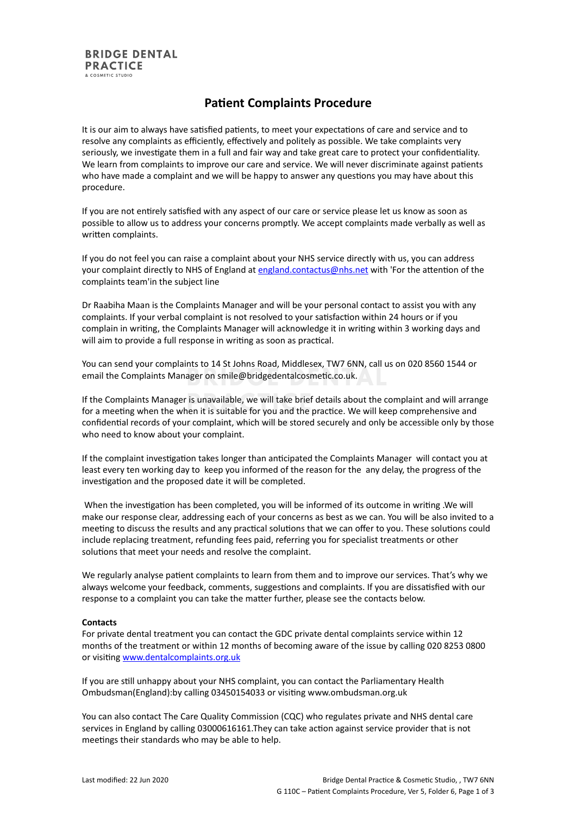# **Patient Complaints Procedure**

It is our aim to always have satisfied patients, to meet your expectations of care and service and to resolve any complaints as efficiently, effectively and politely as possible. We take complaints very seriously, we investigate them in a full and fair way and take great care to protect your confidentiality. We learn from complaints to improve our care and service. We will never discriminate against patients who have made a complaint and we will be happy to answer any questions you may have about this procedure.

If you are not entirely satisfied with any aspect of our care or service please let us know as soon as possible to allow us to address your concerns promptly. We accept complaints made verbally as well as written complaints.

If you do not feel you can raise a complaint about your NHS service directly with us, you can address your complaint directly to NHS of England at [england.contactus@nhs.net](mailto:england.contactus@nhs.net) with 'For the attention of the complaints team'in the subject line

Dr Raabiha Maan is the Complaints Manager and will be your personal contact to assist you with any complaints. If your verbal complaint is not resolved to your satisfaction within 24 hours or if you complain in writing, the Complaints Manager will acknowledge it in writing within 3 working days and will aim to provide a full response in writing as soon as practical.

You can send your complaints to 14 St Johns Road, Middlesex, TW7 6NN, call us on 020 8560 1544 or email the Complaints Manager on smile@bridgedentalcosmetic.co.uk.

If the Complaints Manager is unavailable, we will take brief details about the complaint and will arrange for a meeting when the when it is suitable for you and the practice. We will keep comprehensive and confidential records of your complaint, which will be stored securely and only be accessible only by those who need to know about your complaint.

If the complaint investigation takes longer than anticipated the Complaints Manager will contact you at least every ten working day to keep you informed of the reason for the any delay, the progress of the investigation and the proposed date it will be completed.

When the investigation has been completed, you will be informed of its outcome in writing .We will make our response clear, addressing each of your concerns as best as we can. You will be also invited to a meeting to discuss the results and any practical solutions that we can offer to you. These solutions could include replacing treatment, refunding fees paid, referring you for specialist treatments or other solutions that meet your needs and resolve the complaint.

We regularly analyse patient complaints to learn from them and to improve our services. That's why we always welcome your feedback, comments, suggestions and complaints. If you are dissatisfied with our response to a complaint you can take the matter further, please see the contacts below.

## **Contacts**

For private dental treatment you can contact the GDC private dental complaints service within 12 months of the treatment or within 12 months of becoming aware of the issue by calling 020 8253 0800 or visiting [www.dentalcomplaints.org.uk](http://www.dentalcomplaints.org.uk/)

If you are still unhappy about your NHS complaint, you can contact the Parliamentary Health Ombudsman(England):by calling 03450154033 or visiting www.ombudsman.org.uk

You can also contact The Care Quality Commission (CQC) who regulates private and NHS dental care services in England by calling 03000616161.They can take action against service provider that is not meetings their standards who may be able to help.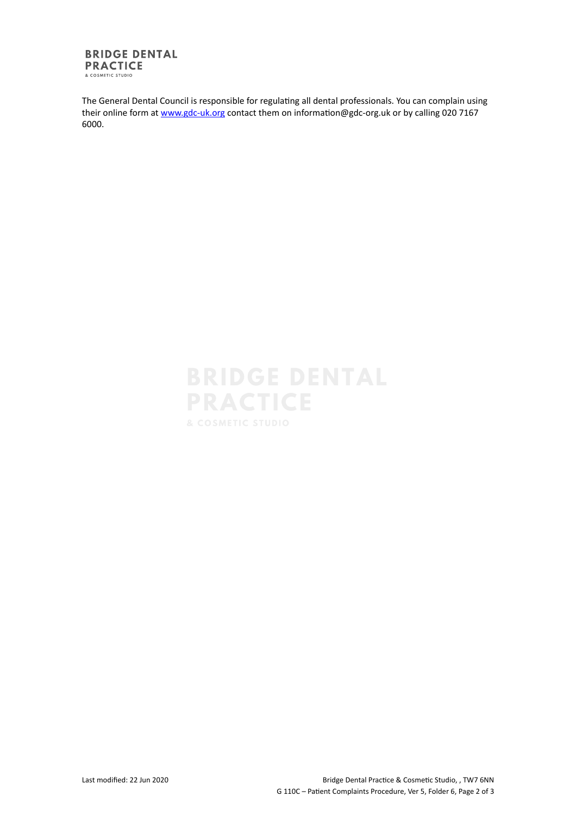### **BRIDGE DENTAL PRACTICE** & COSMETIC STUDIO

The General Dental Council is responsible for regulating all dental professionals. You can complain using their online form at [www.gdc-uk.org](http://contactus.gdc-uk.org/Enquiry/SelectType) contact them on information@gdc-org.uk or by calling 020 7167 6000.